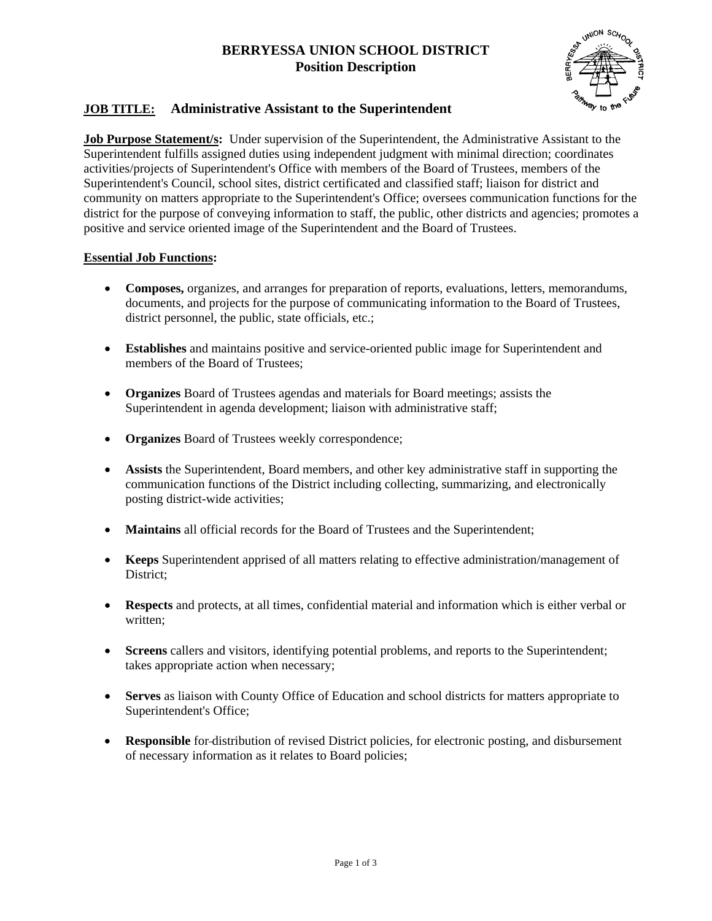# **BERRYESSA UNION SCHOOL DISTRICT Position Description**



## **JOB TITLE: Administrative Assistant to the Superintendent**

**Job Purpose Statement/s:** Under supervision of the Superintendent, the Administrative Assistant to the Superintendent fulfills assigned duties using independent judgment with minimal direction; coordinates activities/projects of Superintendent's Office with members of the Board of Trustees, members of the Superintendent's Council, school sites, district certificated and classified staff; liaison for district and community on matters appropriate to the Superintendent's Office; oversees communication functions for the district for the purpose of conveying information to staff, the public, other districts and agencies; promotes a positive and service oriented image of the Superintendent and the Board of Trustees.

### **Essential Job Functions:**

- **Composes,** organizes, and arranges for preparation of reports, evaluations, letters, memorandums, documents, and projects for the purpose of communicating information to the Board of Trustees, district personnel, the public, state officials, etc.;
- **Establishes** and maintains positive and service-oriented public image for Superintendent and members of the Board of Trustees;
- **Organizes** Board of Trustees agendas and materials for Board meetings; assists the Superintendent in agenda development; liaison with administrative staff;
- **Organizes** Board of Trustees weekly correspondence;
- **Assists** the Superintendent, Board members, and other key administrative staff in supporting the communication functions of the District including collecting, summarizing, and electronically posting district-wide activities;
- **Maintains** all official records for the Board of Trustees and the Superintendent;
- **Keeps** Superintendent apprised of all matters relating to effective administration/management of District;
- **Respects** and protects, at all times, confidential material and information which is either verbal or written;
- **Screens** callers and visitors, identifying potential problems, and reports to the Superintendent; takes appropriate action when necessary;
- **Serves** as liaison with County Office of Education and school districts for matters appropriate to Superintendent's Office;
- **Responsible** for distribution of revised District policies, for electronic posting, and disbursement of necessary information as it relates to Board policies;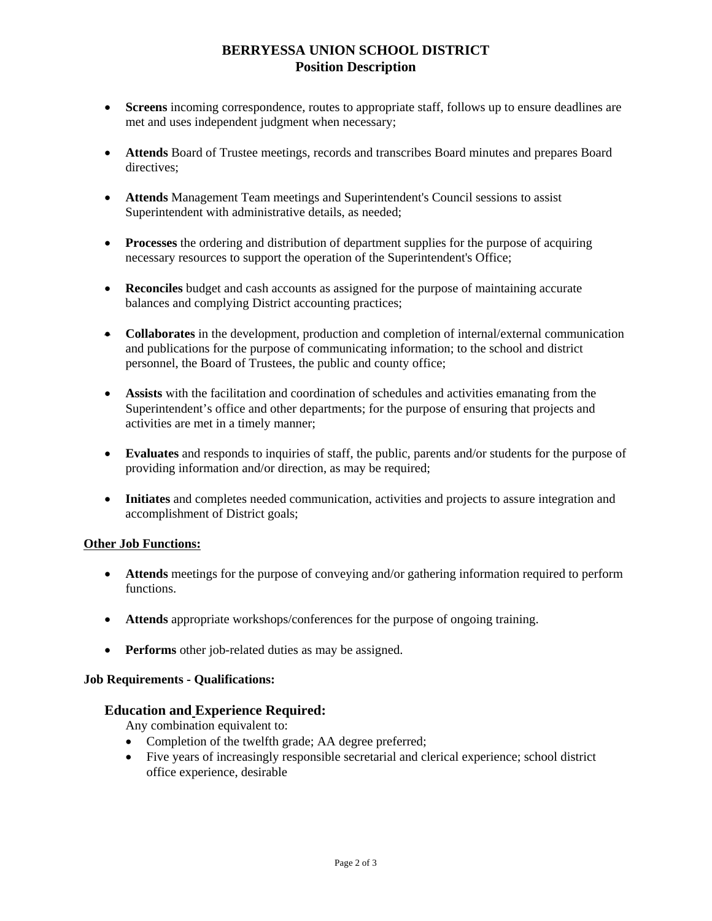# **BERRYESSA UNION SCHOOL DISTRICT Position Description**

- **Screens** incoming correspondence, routes to appropriate staff, follows up to ensure deadlines are met and uses independent judgment when necessary;
- **Attends** Board of Trustee meetings, records and transcribes Board minutes and prepares Board directives;
- **Attends** Management Team meetings and Superintendent's Council sessions to assist Superintendent with administrative details, as needed;
- **Processes** the ordering and distribution of department supplies for the purpose of acquiring necessary resources to support the operation of the Superintendent's Office;
- **Reconciles** budget and cash accounts as assigned for the purpose of maintaining accurate balances and complying District accounting practices;
- **Collaborates** in the development, production and completion of internal/external communication and publications for the purpose of communicating information; to the school and district personnel, the Board of Trustees, the public and county office;
- **Assists** with the facilitation and coordination of schedules and activities emanating from the Superintendent's office and other departments; for the purpose of ensuring that projects and activities are met in a timely manner;
- **Evaluates** and responds to inquiries of staff, the public, parents and/or students for the purpose of providing information and/or direction, as may be required;
- **Initiates** and completes needed communication, activities and projects to assure integration and accomplishment of District goals;

### **Other Job Functions:**

- **Attends** meetings for the purpose of conveying and/or gathering information required to perform functions.
- **Attends** appropriate workshops/conferences for the purpose of ongoing training.
- **Performs** other job-related duties as may be assigned.

### **Job Requirements - Qualifications:**

#### **Education and Experience Required:**

Any combination equivalent to:

- Completion of the twelfth grade; AA degree preferred;
- Five years of increasingly responsible secretarial and clerical experience; school district office experience, desirable